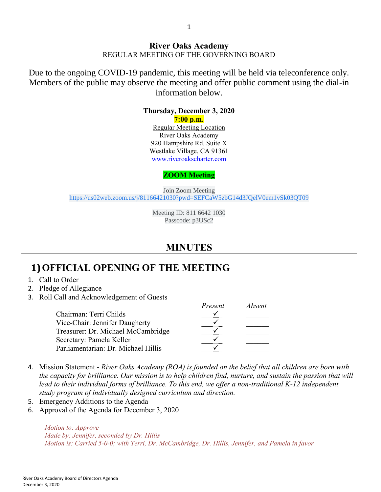Due to the ongoing COVID-19 pandemic, this meeting will be held via teleconference only. Members of the public may observe the meeting and offer public comment using the dial-in information below.

#### **Thursday, December 3, 2020**

**7:00 p.m.**

Regular Meeting Location River Oaks Academy 920 Hampshire Rd. Suite X Westlake Village, CA 91361 [www.riveroakscharter.com](http://www.riveroakscharter.com/)

#### **ZOOM Meeting**

Join Zoom Meeting [https://us02web.zoom.us/j/81166421030?pwd=SEFCaW5zbG14d3JQelV0em1vSk03QT09](https://www.google.com/url?q=https://us02web.zoom.us/j/81166421030?pwd%3DSEFCaW5zbG14d3JQelV0em1vSk03QT09&sa=D&source=calendar&ust=1605124107337000&usg=AOvVaw1ZrvYfLbhJFPe72IJAipVL)

> Meeting ID: 811 6642 1030 Passcode: p3USc2

## **MINUTES**

*Present Absent*

## **1)OFFICIAL OPENING OF THE MEETING**

- 1. Call to Order
- 2. Pledge of Allegiance
- 3. Roll Call and Acknowledgement of Guests

|                                     | <i>Fresent</i> | adsent |
|-------------------------------------|----------------|--------|
| Chairman: Terri Childs              |                |        |
| Vice-Chair: Jennifer Daugherty      |                |        |
| Treasurer: Dr. Michael McCambridge  |                |        |
| Secretary: Pamela Keller            |                |        |
| Parliamentarian: Dr. Michael Hillis |                |        |
|                                     |                |        |

- 4. Mission Statement *River Oaks Academy (ROA) is founded on the belief that all children are born with the capacity for brilliance. Our mission is to help children find, nurture, and sustain the passion that will*  lead to their individual forms of brilliance. To this end, we offer a non-traditional K-12 independent *study program of individually designed curriculum and direction.*
- 5. Emergency Additions to the Agenda
- 6. Approval of the Agenda for December 3, 2020

*Motion to: Approve Made by: Jennifer, seconded by Dr. Hillis Motion is: Carried 5-0-0; with Terri, Dr. McCambridge, Dr. Hillis, Jennifer, and Pamela in favor*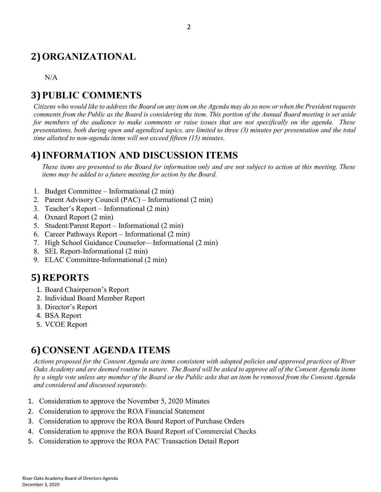# **2)ORGANIZATIONAL**

 $N/A$ 

# **3)PUBLIC COMMENTS**

*Citizens who would like to address the Board on any item on the Agenda may do so now or when the President requests comments from the Public as the Board is considering the item. This portion of the Annual Board meeting is set aside for members of the audience to make comments or raise issues that are not specifically on the agenda. These presentations, both during open and agendized topics, are limited to three (3) minutes per presentation and the total time allotted to non-agenda items will not exceed fifteen (15) minutes.*

## **4) INFORMATION AND DISCUSSION ITEMS**

*These items are presented to the Board for information only and are not subject to action at this meeting. These items may be added to a future meeting for action by the Board.*

- 1. Budget Committee Informational (2 min)
- 2. Parent Advisory Council (PAC) Informational (2 min)
- 3. Teacher's Report Informational (2 min)
- 4. Oxnard Report (2 min)
- 5. Student/Parent Report Informational (2 min)
- 6. Career Pathways Report Informational (2 min)
- 7. High School Guidance Counselor—Informational (2 min)
- 8. SEL Report-Informational (2 min)
- 9. ELAC Committee-Informational (2 min)

## **5)REPORTS**

- 1. Board Chairperson's Report
- 2. Individual Board Member Report
- 3. Director's Report
- 4. BSA Report
- 5. VCOE Report

#### **6)CONSENT AGENDA ITEMS**

*Actions proposed for the Consent Agenda are items consistent with adopted policies and approved practices of River Oaks Academy and are deemed routine in nature. The Board will be asked to approve all of the Consent Agenda items by a single vote unless any member of the Board or the Public asks that an item be removed from the Consent Agenda and considered and discussed separately.*

- 1. Consideration to approve the November 5, 2020 Minutes
- 2. Consideration to approve the ROA Financial Statement
- 3. Consideration to approve the ROA Board Report of Purchase Orders
- 4. Consideration to approve the ROA Board Report of Commercial Checks
- 5. Consideration to approve the ROA PAC Transaction Detail Report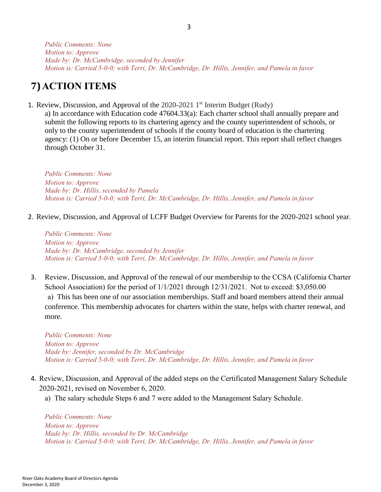*Public Comments: None Motion to: Approve Made by: Dr. McCambridge, seconded by Jennifer Motion is: Carried 5-0-0; with Terri, Dr. McCambridge, Dr. Hillis, Jennifer, and Pamela in favor*

## **7)ACTION ITEMS**

1. Review, Discussion, and Approval of the  $2020-2021$  1<sup>st</sup> Interim Budget (Rudy)

a) In accordance with Education code 47604.33(a): Each charter school shall annually prepare and submit the following reports to its chartering agency and the county superintendent of schools, or only to the county superintendent of schools if the county board of education is the chartering agency: (1) On or before December 15, an interim financial report. This report shall reflect changes through October 31.

*Public Comments: None Motion to: Approve Made by: Dr. Hillis, seconded by Pamela Motion is: Carried 5-0-0; with Terri, Dr. McCambridge, Dr. Hillis, Jennifer, and Pamela in favor*

2. Review, Discussion, and Approval of LCFF Budget Overview for Parents for the 2020-2021 school year.

*Public Comments: None Motion to: Approve Made by: Dr. McCambridge, seconded by Jennifer Motion is: Carried 5-0-0; with Terri, Dr. McCambridge, Dr. Hillis, Jennifer, and Pamela in favor*

3. Review, Discussion, and Approval of the renewal of our membership to the CCSA (California Charter School Association) for the period of  $1/1/2021$  through  $12/31/2021$ . Not to exceed: \$3,050.00 a) This has been one of our association memberships. Staff and board members attend their annual conference. This membership advocates for charters within the state, helps with charter renewal, and more.

*Public Comments: None Motion to: Approve Made by: Jennifer, seconded by Dr. McCambridge Motion is: Carried 5-0-0; with Terri, Dr. McCambridge, Dr. Hillis, Jennifer, and Pamela in favor*

- 4. Review, Discussion, and Approval of the added steps on the Certificated Management Salary Schedule 2020-2021, revised on November 6, 2020.
	- a) The salary schedule Steps 6 and 7 were added to the Management Salary Schedule.

*Public Comments: None Motion to: Approve Made by: Dr. Hillis, seconded by Dr. McCambridge Motion is: Carried 5-0-0; with Terri, Dr. McCambridge, Dr. Hillis, Jennifer, and Pamela in favor*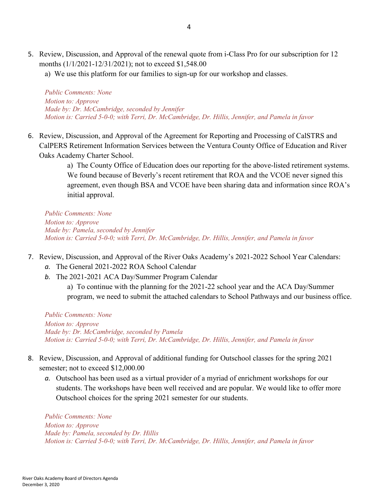- 5. Review, Discussion, and Approval of the renewal quote from i-Class Pro for our subscription for 12 months (1/1/2021-12/31/2021); not to exceed \$1,548.00
	- a) We use this platform for our families to sign-up for our workshop and classes.

*Public Comments: None Motion to: Approve Made by: Dr. McCambridge, seconded by Jennifer Motion is: Carried 5-0-0; with Terri, Dr. McCambridge, Dr. Hillis, Jennifer, and Pamela in favor*

6. Review, Discussion, and Approval of the Agreement for Reporting and Processing of CalSTRS and CalPERS Retirement Information Services between the Ventura County Office of Education and River Oaks Academy Charter School.

> a) The County Office of Education does our reporting for the above-listed retirement systems. We found because of Beverly's recent retirement that ROA and the VCOE never signed this agreement, even though BSA and VCOE have been sharing data and information since ROA's initial approval.

*Public Comments: None Motion to: Approve Made by: Pamela, seconded by Jennifer Motion is: Carried 5-0-0; with Terri, Dr. McCambridge, Dr. Hillis, Jennifer, and Pamela in favor*

- 7. Review, Discussion, and Approval of the River Oaks Academy's 2021-2022 School Year Calendars:
	- *a.* The General 2021-2022 ROA School Calendar
	- *b.* The 2021-2021 ACA Day/Summer Program Calendar

a) To continue with the planning for the 2021-22 school year and the ACA Day/Summer program, we need to submit the attached calendars to School Pathways and our business office.

*Public Comments: None Motion to: Approve Made by: Dr. McCambridge, seconded by Pamela Motion is: Carried 5-0-0; with Terri, Dr. McCambridge, Dr. Hillis, Jennifer, and Pamela in favor*

- 8. Review, Discussion, and Approval of additional funding for Outschool classes for the spring 2021 semester; not to exceed \$12,000.00
	- *a.* Outschool has been used as a virtual provider of a myriad of enrichment workshops for our students. The workshops have been well received and are popular. We would like to offer more Outschool choices for the spring 2021 semester for our students.

*Public Comments: None Motion to: Approve Made by: Pamela, seconded by Dr. Hillis Motion is: Carried 5-0-0; with Terri, Dr. McCambridge, Dr. Hillis, Jennifer, and Pamela in favor*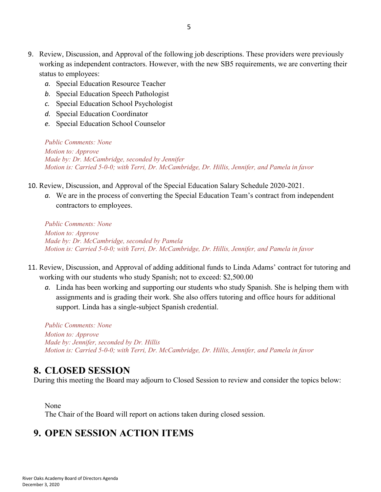- 9. Review, Discussion, and Approval of the following job descriptions. These providers were previously working as independent contractors. However, with the new SB5 requirements, we are converting their status to employees:
	- *a.* Special Education Resource Teacher
	- *b.* Special Education Speech Pathologist
	- *c.* Special Education School Psychologist
	- *d.* Special Education Coordinator
	- *e.* Special Education School Counselor

*Public Comments: None Motion to: Approve Made by: Dr. McCambridge, seconded by Jennifer Motion is: Carried 5-0-0; with Terri, Dr. McCambridge, Dr. Hillis, Jennifer, and Pamela in favor*

- 10. Review, Discussion, and Approval of the Special Education Salary Schedule 2020-2021.
	- *a.* We are in the process of converting the Special Education Team's contract from independent contractors to employees.

*Public Comments: None Motion to: Approve Made by: Dr. McCambridge, seconded by Pamela Motion is: Carried 5-0-0; with Terri, Dr. McCambridge, Dr. Hillis, Jennifer, and Pamela in favor*

- 11. Review, Discussion, and Approval of adding additional funds to Linda Adams' contract for tutoring and working with our students who study Spanish; not to exceed: \$2,500.00
	- *a.* Linda has been working and supporting our students who study Spanish. She is helping them with assignments and is grading their work. She also offers tutoring and office hours for additional support. Linda has a single-subject Spanish credential.

*Public Comments: None Motion to: Approve Made by: Jennifer, seconded by Dr. Hillis Motion is: Carried 5-0-0; with Terri, Dr. McCambridge, Dr. Hillis, Jennifer, and Pamela in favor*

#### **8. CLOSED SESSION**

During this meeting the Board may adjourn to Closed Session to review and consider the topics below:

None

The Chair of the Board will report on actions taken during closed session.

## **9. OPEN SESSION ACTION ITEMS**